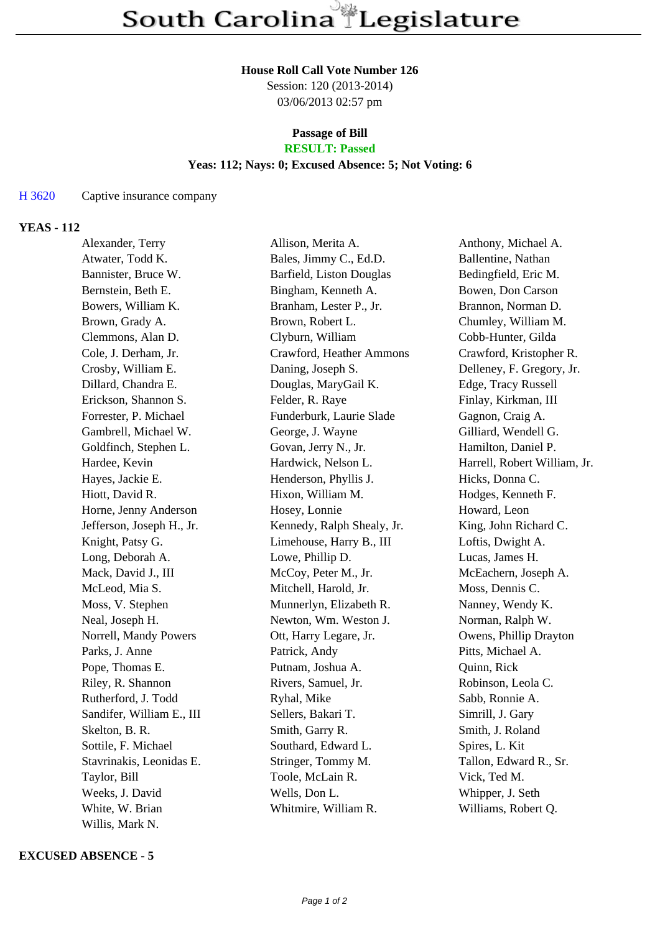### **House Roll Call Vote Number 126**

Session: 120 (2013-2014) 03/06/2013 02:57 pm

### **Passage of Bill RESULT: Passed**

# **Yeas: 112; Nays: 0; Excused Absence: 5; Not Voting: 6**

### H 3620 Captive insurance company

# **YEAS - 112**

| Alexander, Terry          | Allison, Merita A.         | Anthony, Michael A.          |
|---------------------------|----------------------------|------------------------------|
| Atwater, Todd K.          | Bales, Jimmy C., Ed.D.     | Ballentine, Nathan           |
| Bannister, Bruce W.       | Barfield, Liston Douglas   | Bedingfield, Eric M.         |
| Bernstein, Beth E.        | Bingham, Kenneth A.        | Bowen, Don Carson            |
| Bowers, William K.        | Branham, Lester P., Jr.    | Brannon, Norman D.           |
| Brown, Grady A.           | Brown, Robert L.           | Chumley, William M.          |
| Clemmons, Alan D.         | Clyburn, William           | Cobb-Hunter, Gilda           |
| Cole, J. Derham, Jr.      | Crawford, Heather Ammons   | Crawford, Kristopher R.      |
| Crosby, William E.        | Daning, Joseph S.          | Delleney, F. Gregory, Jr.    |
| Dillard, Chandra E.       | Douglas, MaryGail K.       | Edge, Tracy Russell          |
| Erickson, Shannon S.      | Felder, R. Raye            | Finlay, Kirkman, III         |
| Forrester, P. Michael     | Funderburk, Laurie Slade   | Gagnon, Craig A.             |
| Gambrell, Michael W.      | George, J. Wayne           | Gilliard, Wendell G.         |
| Goldfinch, Stephen L.     | Govan, Jerry N., Jr.       | Hamilton, Daniel P.          |
| Hardee, Kevin             | Hardwick, Nelson L.        | Harrell, Robert William, Jr. |
| Hayes, Jackie E.          | Henderson, Phyllis J.      | Hicks, Donna C.              |
| Hiott, David R.           | Hixon, William M.          | Hodges, Kenneth F.           |
| Horne, Jenny Anderson     | Hosey, Lonnie              | Howard, Leon                 |
| Jefferson, Joseph H., Jr. | Kennedy, Ralph Shealy, Jr. | King, John Richard C.        |
| Knight, Patsy G.          | Limehouse, Harry B., III   | Loftis, Dwight A.            |
| Long, Deborah A.          | Lowe, Phillip D.           | Lucas, James H.              |
| Mack, David J., III       | McCoy, Peter M., Jr.       | McEachern, Joseph A.         |
| McLeod, Mia S.            | Mitchell, Harold, Jr.      | Moss, Dennis C.              |
| Moss, V. Stephen          | Munnerlyn, Elizabeth R.    | Nanney, Wendy K.             |
| Neal, Joseph H.           | Newton, Wm. Weston J.      | Norman, Ralph W.             |
| Norrell, Mandy Powers     | Ott, Harry Legare, Jr.     | Owens, Phillip Drayton       |
| Parks, J. Anne            | Patrick, Andy              | Pitts, Michael A.            |
| Pope, Thomas E.           | Putnam, Joshua A.          | Quinn, Rick                  |
| Riley, R. Shannon         | Rivers, Samuel, Jr.        | Robinson, Leola C.           |
| Rutherford, J. Todd       | Ryhal, Mike                | Sabb, Ronnie A.              |
| Sandifer, William E., III | Sellers, Bakari T.         | Simrill, J. Gary             |
| Skelton, B. R.            | Smith, Garry R.            | Smith, J. Roland             |
| Sottile, F. Michael       | Southard, Edward L.        | Spires, L. Kit               |
| Stavrinakis, Leonidas E.  | Stringer, Tommy M.         | Tallon, Edward R., Sr.       |
| Taylor, Bill              | Toole, McLain R.           | Vick, Ted M.                 |
| Weeks, J. David           | Wells, Don L.              | Whipper, J. Seth             |
| White, W. Brian           | Whitmire, William R.       | Williams, Robert Q.          |
| Willis, Mark N.           |                            |                              |

### **EXCUSED ABSENCE - 5**